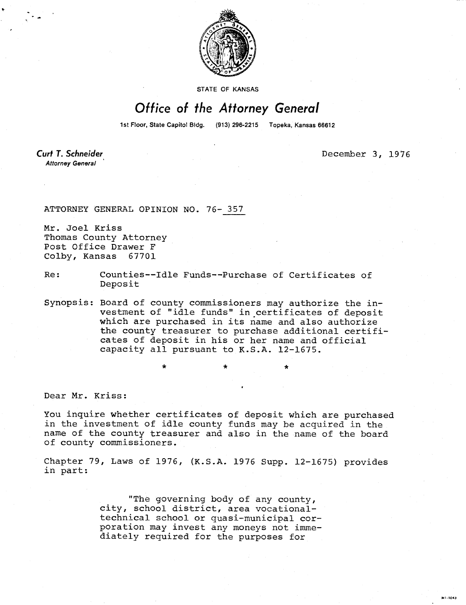

STATE OF KANSAS

## Office of the Attorney General

1st Floor, State Capitol Bldg. (913) 296-2215 Topeka, Kansas 66612

**Curt T. Schneider Attorney General** 

December 3, 1976

MI-1043

ATTORNEY GENERAL OPINION NO. 76- 357

Mr. Joel Kriss Thomas County Attorney Post Office Drawer F Colby, Kansas 67701

Re: Counties--Idle Funds--Purchase of Certificates of Deposit

Synopsis: Board of county commissioners may authorize the investment of "idle funds" in certificates of deposit which are purchased in its name and also authorize the county treasurer to purchase additional certificates of deposit in his or her name and official capacity all pursuant to K.S.A. 12-1675.

Dear Mr. Kriss:

You inquire whether certificates of deposit which are purchased in the investment of idle county funds may be acquired in the name of the county treasurer and also in the name of the board of county commissioners.

Chapter 79, Laws of 1976, (K.S.A. 1976 Supp. 12-1675) provides in part:

> "The governing body of any county, city, school district, area vocationaltechnical school or quasi-municipal corporation may invest any moneys not immediately required for the purposes for